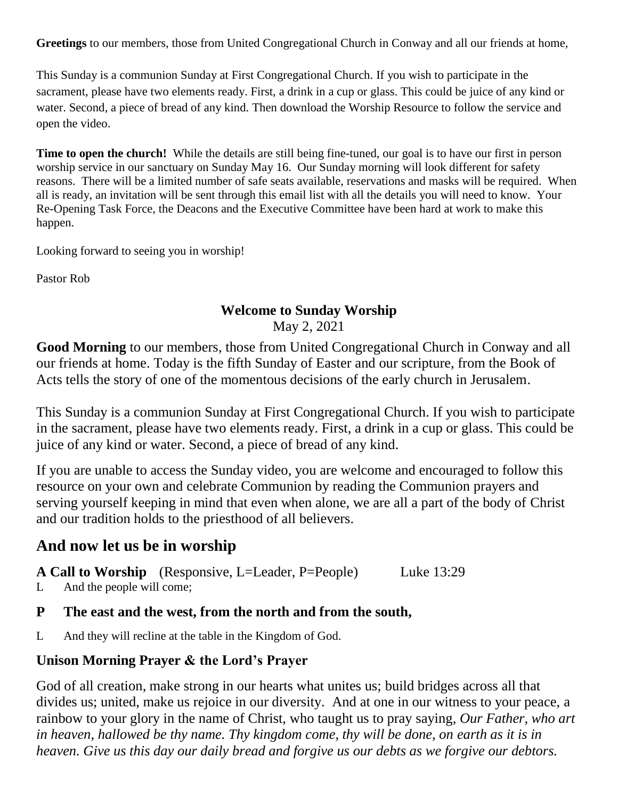**Greetings** to our members, those from United Congregational Church in Conway and all our friends at home,

This Sunday is a communion Sunday at First Congregational Church. If you wish to participate in the sacrament, please have two elements ready. First, a drink in a cup or glass. This could be juice of any kind or water. Second, a piece of bread of any kind. Then download the Worship Resource to follow the service and open the video.

**Time to open the church!** While the details are still being fine-tuned, our goal is to have our first in person worship service in our sanctuary on Sunday May 16. Our Sunday morning will look different for safety reasons. There will be a limited number of safe seats available, reservations and masks will be required. When all is ready, an invitation will be sent through this email list with all the details you will need to know. Your Re-Opening Task Force, the Deacons and the Executive Committee have been hard at work to make this happen.

Looking forward to seeing you in worship!

Pastor Rob

# **Welcome to Sunday Worship**

May 2, 2021

**Good Morning** to our members, those from United Congregational Church in Conway and all our friends at home. Today is the fifth Sunday of Easter and our scripture, from the Book of Acts tells the story of one of the momentous decisions of the early church in Jerusalem.

This Sunday is a communion Sunday at First Congregational Church. If you wish to participate in the sacrament, please have two elements ready. First, a drink in a cup or glass. This could be juice of any kind or water. Second, a piece of bread of any kind.

If you are unable to access the Sunday video, you are welcome and encouraged to follow this resource on your own and celebrate Communion by reading the Communion prayers and serving yourself keeping in mind that even when alone, we are all a part of the body of Christ and our tradition holds to the priesthood of all believers.

# **And now let us be in worship**

**A Call to Worship** (Responsive, L=Leader, P=People) Luke 13:29

L And the people will come;

# **P The east and the west, from the north and from the south,**

L And they will recline at the table in the Kingdom of God.

# **Unison Morning Prayer & the Lord's Prayer**

God of all creation, make strong in our hearts what unites us; build bridges across all that divides us; united, make us rejoice in our diversity. And at one in our witness to your peace, a rainbow to your glory in the name of Christ, who taught us to pray saying, *Our Father, who art in heaven, hallowed be thy name. Thy kingdom come, thy will be done, on earth as it is in heaven. Give us this day our daily bread and forgive us our debts as we forgive our debtors.*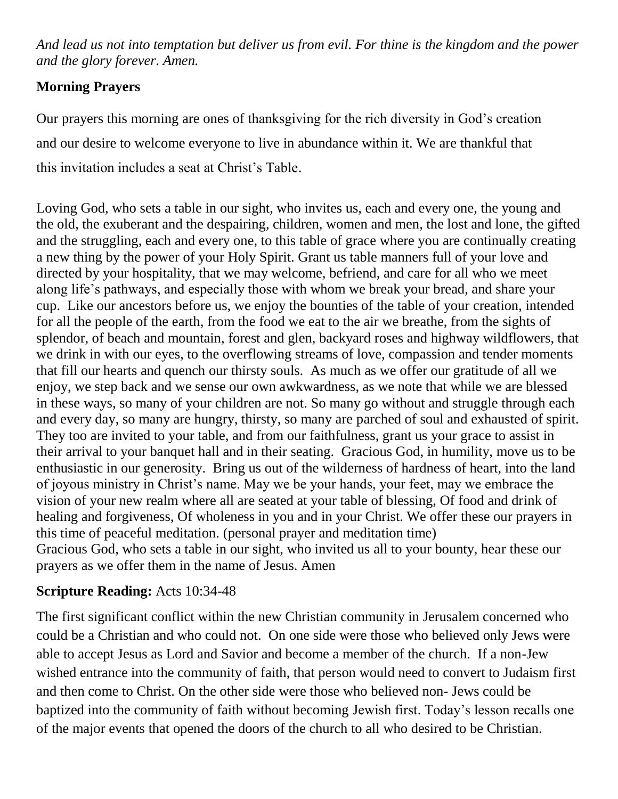*And lead us not into temptation but deliver us from evil. For thine is the kingdom and the power and the glory forever. Amen.*

# **Morning Prayers**

Our prayers this morning are ones of thanksgiving for the rich diversity in God's creation and our desire to welcome everyone to live in abundance within it. We are thankful that this invitation includes a seat at Christ's Table.

Loving God, who sets a table in our sight, who invites us, each and every one, the young and the old, the exuberant and the despairing, children, women and men, the lost and lone, the gifted and the struggling, each and every one, to this table of grace where you are continually creating a new thing by the power of your Holy Spirit. Grant us table manners full of your love and directed by your hospitality, that we may welcome, befriend, and care for all who we meet along life's pathways, and especially those with whom we break your bread, and share your cup. Like our ancestors before us, we enjoy the bounties of the table of your creation, intended for all the people of the earth, from the food we eat to the air we breathe, from the sights of splendor, of beach and mountain, forest and glen, backyard roses and highway wildflowers, that we drink in with our eyes, to the overflowing streams of love, compassion and tender moments that fill our hearts and quench our thirsty souls. As much as we offer our gratitude of all we enjoy, we step back and we sense our own awkwardness, as we note that while we are blessed in these ways, so many of your children are not. So many go without and struggle through each and every day, so many are hungry, thirsty, so many are parched of soul and exhausted of spirit. They too are invited to your table, and from our faithfulness, grant us your grace to assist in their arrival to your banquet hall and in their seating. Gracious God, in humility, move us to be enthusiastic in our generosity. Bring us out of the wilderness of hardness of heart, into the land of joyous ministry in Christ's name. May we be your hands, your feet, may we embrace the vision of your new realm where all are seated at your table of blessing, Of food and drink of healing and forgiveness, Of wholeness in you and in your Christ. We offer these our prayers in this time of peaceful meditation. (personal prayer and meditation time) Gracious God, who sets a table in our sight, who invited us all to your bounty, hear these our prayers as we offer them in the name of Jesus. Amen

# **Scripture Reading:** Acts 10:34-48

The first significant conflict within the new Christian community in Jerusalem concerned who could be a Christian and who could not. On one side were those who believed only Jews were able to accept Jesus as Lord and Savior and become a member of the church. If a non-Jew wished entrance into the community of faith, that person would need to convert to Judaism first and then come to Christ. On the other side were those who believed non- Jews could be baptized into the community of faith without becoming Jewish first. Today's lesson recalls one of the major events that opened the doors of the church to all who desired to be Christian.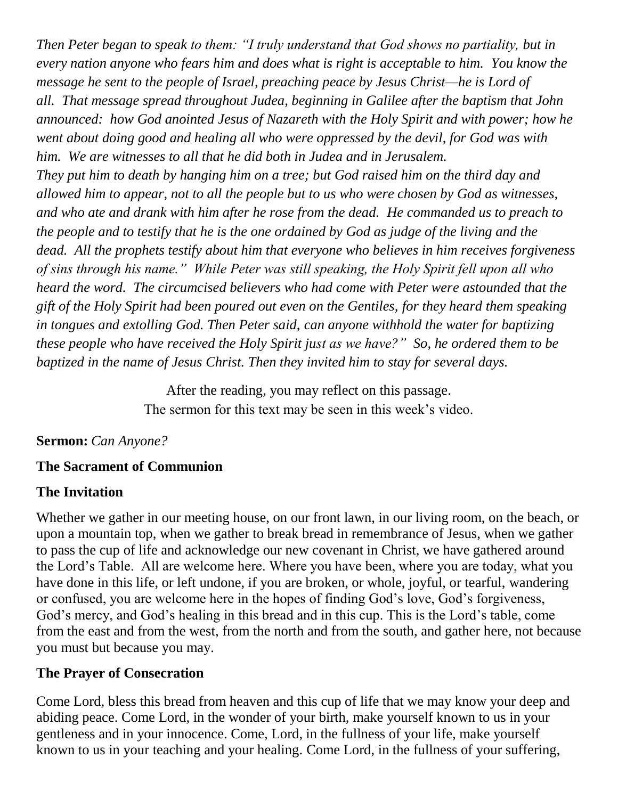*Then Peter began to speak to them: "I truly understand that God shows no partiality, but in every nation anyone who fears him and does what is right is acceptable to him. You know the message he sent to the people of Israel, preaching peace by Jesus Christ—he is Lord of all. That message spread throughout Judea, beginning in Galilee after the baptism that John announced: how God anointed Jesus of Nazareth with the Holy Spirit and with power; how he went about doing good and healing all who were oppressed by the devil, for God was with him. We are witnesses to all that he did both in Judea and in Jerusalem. They put him to death by hanging him on a tree; but God raised him on the third day and allowed him to appear, not to all the people but to us who were chosen by God as witnesses, and who ate and drank with him after he rose from the dead. He commanded us to preach to the people and to testify that he is the one ordained by God as judge of the living and the dead. All the prophets testify about him that everyone who believes in him receives forgiveness of sins through his name." While Peter was still speaking, the Holy Spirit fell upon all who heard the word. The circumcised believers who had come with Peter were astounded that the gift of the Holy Spirit had been poured out even on the Gentiles, for they heard them speaking in tongues and extolling God. Then Peter said, can anyone withhold the water for baptizing these people who have received the Holy Spirit just as we have?" So, he ordered them to be baptized in the name of Jesus Christ. Then they invited him to stay for several days.*

> After the reading, you may reflect on this passage. The sermon for this text may be seen in this week's video.

#### **Sermon:** *Can Anyone?*

#### **The Sacrament of Communion**

#### **The Invitation**

Whether we gather in our meeting house, on our front lawn, in our living room, on the beach, or upon a mountain top, when we gather to break bread in remembrance of Jesus, when we gather to pass the cup of life and acknowledge our new covenant in Christ, we have gathered around the Lord's Table. All are welcome here. Where you have been, where you are today, what you have done in this life, or left undone, if you are broken, or whole, joyful, or tearful, wandering or confused, you are welcome here in the hopes of finding God's love, God's forgiveness, God's mercy, and God's healing in this bread and in this cup. This is the Lord's table, come from the east and from the west, from the north and from the south, and gather here, not because you must but because you may.

#### **The Prayer of Consecration**

Come Lord, bless this bread from heaven and this cup of life that we may know your deep and abiding peace. Come Lord, in the wonder of your birth, make yourself known to us in your gentleness and in your innocence. Come, Lord, in the fullness of your life, make yourself known to us in your teaching and your healing. Come Lord, in the fullness of your suffering,